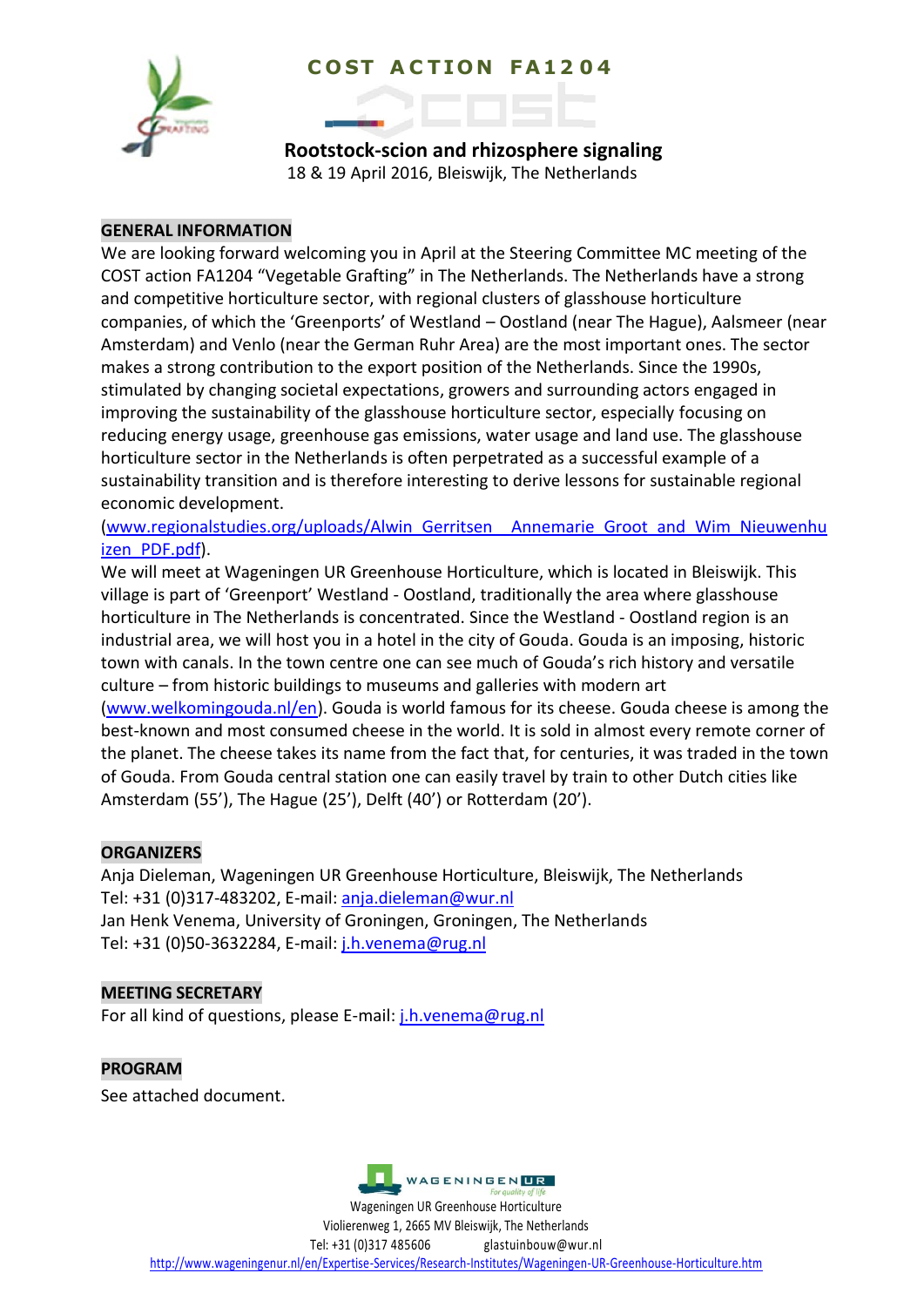# **C O ST A C T I O N F A 1 2 0 4**



**Rootstock-scion and rhizosphere signaling** 18 & 19 April 2016, Bleiswijk, The Netherlands

## **GENERAL INFORMATION**

We are looking forward welcoming you in April at the Steering Committee MC meeting of the COST action FA1204 "Vegetable Grafting" in The Netherlands. The Netherlands have a strong and competitive horticulture sector, with regional clusters of glasshouse horticulture companies, of which the 'Greenports' of Westland – Oostland (near The Hague), Aalsmeer (near Amsterdam) and Venlo (near the German Ruhr Area) are the most important ones. The sector makes a strong contribution to the export position of the Netherlands. Since the 1990s, stimulated by changing societal expectations, growers and surrounding actors engaged in improving the sustainability of the glasshouse horticulture sector, especially focusing on reducing energy usage, greenhouse gas emissions, water usage and land use. The glasshouse horticulture sector in the Netherlands is often perpetrated as a successful example of a sustainability transition and is therefore interesting to derive lessons for sustainable regional economic development.

[\(www.regionalstudies.org/uploads/Alwin\\_Gerritsen\\_\\_Annemarie\\_Groot\\_and\\_Wim\\_Nieuwenhu](http://www.regionalstudies.org/uploads/Alwin_Gerritsen__Annemarie_Groot_and_Wim_Nieuwenhuizen_PDF.pdf) izen PDF.pdf).

We will meet at Wageningen UR Greenhouse Horticulture, which is located in Bleiswijk. This village is part of 'Greenport' Westland - Oostland, traditionally the area where glasshouse horticulture in The Netherlands is concentrated. Since the Westland - Oostland region is an industrial area, we will host you in a hotel in the city of Gouda. Gouda is an imposing, historic town with canals. In the town centre one can see much of Gouda's rich history and versatile culture – from historic buildings to museums and galleries with modern art [\(www.welkomingouda.nl/en\)](http://www.welkomingouda.nl/en). Gouda is world famous for its cheese. Gouda cheese is among the best-known and most consumed cheese in the world. It is sold in almost every remote corner of

the planet. The cheese takes its name from the fact that, for centuries, it was traded in the town of Gouda. From Gouda central station one can easily travel by train to other Dutch cities like Amsterdam (55'), The Hague (25'), Delft (40') or Rotterdam (20').

## **ORGANIZERS**

Anja Dieleman, Wageningen UR Greenhouse Horticulture, Bleiswijk, The Netherlands Tel: +31 (0)317-483202, E-mail: [anja.dieleman@wur.nl](mailto:anja.dieleman@wur.nl) Jan Henk Venema, University of Groningen, Groningen, The Netherlands Tel: +31 (0)50-3632284, E-mail: [j.h.venema@rug.nl](mailto:j.h.venema@rug.nl)

## **MEETING SECRETARY**

For all kind of questions, please E-mail[: j.h.venema@rug.nl](mailto:j.h.venema@rug.nl)

**PROGRAM** See attached document.